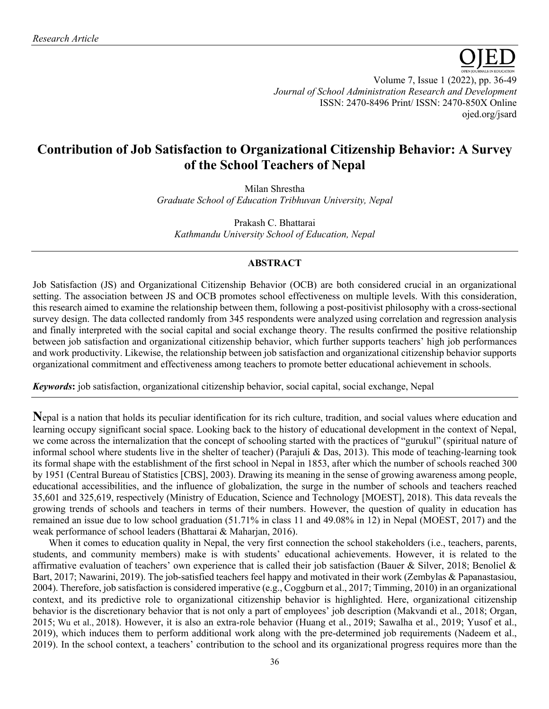

Volume 7, Issue 1 (2022), pp. 36-49 *Journal of School Administration Research and Development* ISSN: 2470-8496 Print/ ISSN: 2470-850X Online ojed.org/jsard

# **Contribution of Job Satisfaction to Organizational Citizenship Behavior: A Survey of the School Teachers of Nepal**

Milan Shrestha *Graduate School of Education Tribhuvan University, Nepal*

Prakash C. Bhattarai *Kathmandu University School of Education, Nepal*

# **ABSTRACT**

Job Satisfaction (JS) and Organizational Citizenship Behavior (OCB) are both considered crucial in an organizational setting. The association between JS and OCB promotes school effectiveness on multiple levels. With this consideration, this research aimed to examine the relationship between them, following a post-positivist philosophy with a cross-sectional survey design. The data collected randomly from 345 respondents were analyzed using correlation and regression analysis and finally interpreted with the social capital and social exchange theory. The results confirmed the positive relationship between job satisfaction and organizational citizenship behavior, which further supports teachers' high job performances and work productivity. Likewise, the relationship between job satisfaction and organizational citizenship behavior supports organizational commitment and effectiveness among teachers to promote better educational achievement in schools.

*Keywords***:** job satisfaction, organizational citizenship behavior, social capital, social exchange, Nepal

**N**epal is a nation that holds its peculiar identification for its rich culture, tradition, and social values where education and learning occupy significant social space. Looking back to the history of educational development in the context of Nepal, we come across the internalization that the concept of schooling started with the practices of "gurukul" (spiritual nature of informal school where students live in the shelter of teacher) (Parajuli & Das, 2013). This mode of teaching-learning took its formal shape with the establishment of the first school in Nepal in 1853, after which the number of schools reached 300 by 1951 (Central Bureau of Statistics [CBS], 2003). Drawing its meaning in the sense of growing awareness among people, educational accessibilities, and the influence of globalization, the surge in the number of schools and teachers reached 35,601 and 325,619, respectively (Ministry of Education, Science and Technology [MOEST], 2018). This data reveals the growing trends of schools and teachers in terms of their numbers. However, the question of quality in education has remained an issue due to low school graduation (51.71% in class 11 and 49.08% in 12) in Nepal (MOEST, 2017) and the weak performance of school leaders (Bhattarai & Maharjan, 2016).

When it comes to education quality in Nepal, the very first connection the school stakeholders (i.e., teachers, parents, students, and community members) make is with students' educational achievements. However, it is related to the affirmative evaluation of teachers' own experience that is called their job satisfaction (Bauer & Silver, 2018; Benoliel & Bart, 2017; Nawarini, 2019). The job-satisfied teachers feel happy and motivated in their work (Zembylas & Papanastasiou, 2004). Therefore, job satisfaction is considered imperative (e.g., Coggburn et al., 2017; Timming, 2010) in an organizational context, and its predictive role to organizational citizenship behavior is highlighted. Here, organizational citizenship behavior is the discretionary behavior that is not only a part of employees' job description (Makvandi et al., 2018; Organ, 2015; Wu et al., 2018). However, it is also an extra-role behavior (Huang et al., 2019; Sawalha et al., 2019; Yusof et al., 2019), which induces them to perform additional work along with the pre-determined job requirements (Nadeem et al., 2019). In the school context, a teachers' contribution to the school and its organizational progress requires more than the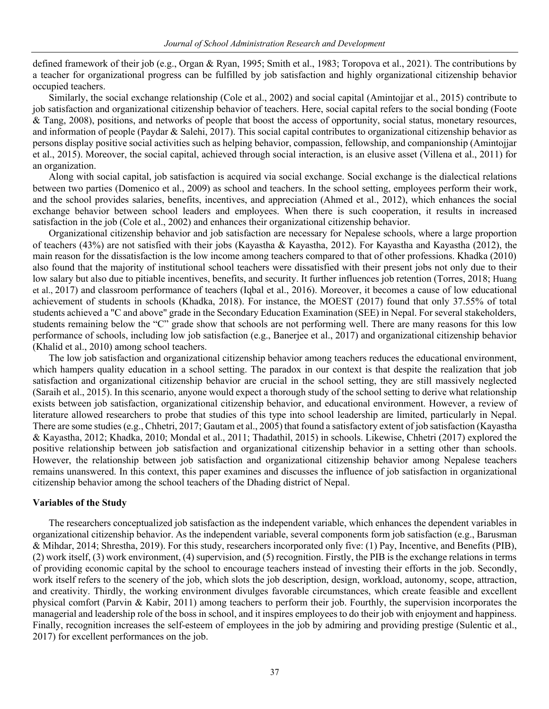defined framework of their job (e.g., Organ & Ryan, 1995; Smith et al., 1983; Toropova et al., 2021). The contributions by a teacher for organizational progress can be fulfilled by job satisfaction and highly organizational citizenship behavior occupied teachers.

Similarly, the social exchange relationship (Cole et al., 2002) and social capital (Amintojjar et al., 2015) contribute to job satisfaction and organizational citizenship behavior of teachers. Here, social capital refers to the social bonding (Foote & Tang, 2008), positions, and networks of people that boost the access of opportunity, social status, monetary resources, and information of people (Paydar & Salehi, 2017). This social capital contributes to organizational citizenship behavior as persons display positive social activities such as helping behavior, compassion, fellowship, and companionship (Amintojjar et al., 2015). Moreover, the social capital, achieved through social interaction, is an elusive asset (Villena et al., 2011) for an organization.

Along with social capital, job satisfaction is acquired via social exchange. Social exchange is the dialectical relations between two parties (Domenico et al., 2009) as school and teachers. In the school setting, employees perform their work, and the school provides salaries, benefits, incentives, and appreciation (Ahmed et al., 2012), which enhances the social exchange behavior between school leaders and employees. When there is such cooperation, it results in increased satisfaction in the job (Cole et al., 2002) and enhances their organizational citizenship behavior.

Organizational citizenship behavior and job satisfaction are necessary for Nepalese schools, where a large proportion of teachers (43%) are not satisfied with their jobs (Kayastha & Kayastha, 2012). For Kayastha and Kayastha (2012), the main reason for the dissatisfaction is the low income among teachers compared to that of other professions. Khadka (2010) also found that the majority of institutional school teachers were dissatisfied with their present jobs not only due to their low salary but also due to pitiable incentives, benefits, and security. It further influences job retention (Torres, 2018; Huang et al., 2017) and classroom performance of teachers (Iqbal et al., 2016). Moreover, it becomes a cause of low educational achievement of students in schools (Khadka, 2018). For instance, the MOEST (2017) found that only 37.55% of total students achieved a "C and above" grade in the Secondary Education Examination (SEE) in Nepal. For several stakeholders, students remaining below the "C" grade show that schools are not performing well. There are many reasons for this low performance of schools, including low job satisfaction (e.g., Banerjee et al., 2017) and organizational citizenship behavior (Khalid et al., 2010) among school teachers.

The low job satisfaction and organizational citizenship behavior among teachers reduces the educational environment, which hampers quality education in a school setting. The paradox in our context is that despite the realization that job satisfaction and organizational citizenship behavior are crucial in the school setting, they are still massively neglected (Saraih et al., 2015). In this scenario, anyone would expect a thorough study of the school setting to derive what relationship exists between job satisfaction, organizational citizenship behavior, and educational environment. However, a review of literature allowed researchers to probe that studies of this type into school leadership are limited, particularly in Nepal. There are some studies (e.g., Chhetri, 2017; Gautam et al., 2005) that found a satisfactory extent of job satisfaction (Kayastha & Kayastha, 2012; Khadka, 2010; Mondal et al., 2011; Thadathil, 2015) in schools. Likewise, Chhetri (2017) explored the positive relationship between job satisfaction and organizational citizenship behavior in a setting other than schools. However, the relationship between job satisfaction and organizational citizenship behavior among Nepalese teachers remains unanswered. In this context, this paper examines and discusses the influence of job satisfaction in organizational citizenship behavior among the school teachers of the Dhading district of Nepal.

#### **Variables of the Study**

The researchers conceptualized job satisfaction as the independent variable, which enhances the dependent variables in organizational citizenship behavior. As the independent variable, several components form job satisfaction (e.g., Barusman & Mihdar, 2014; Shrestha, 2019). For this study, researchers incorporated only five: (1) Pay, Incentive, and Benefits (PIB), (2) work itself, (3) work environment, (4) supervision, and (5) recognition. Firstly, the PIB is the exchange relations in terms of providing economic capital by the school to encourage teachers instead of investing their efforts in the job. Secondly, work itself refers to the scenery of the job, which slots the job description, design, workload, autonomy, scope, attraction, and creativity. Thirdly, the working environment divulges favorable circumstances, which create feasible and excellent physical comfort (Parvin & Kabir, 2011) among teachers to perform their job. Fourthly, the supervision incorporates the managerial and leadership role of the boss in school, and it inspires employees to do their job with enjoyment and happiness. Finally, recognition increases the self-esteem of employees in the job by admiring and providing prestige (Sulentic et al., 2017) for excellent performances on the job.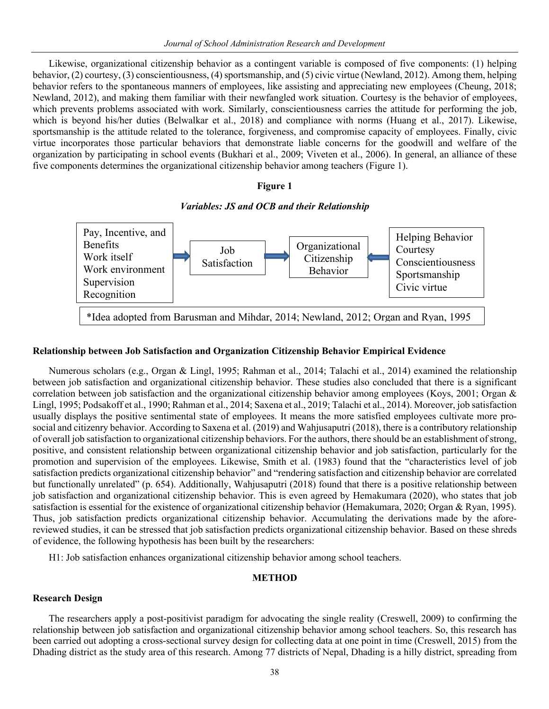Likewise, organizational citizenship behavior as a contingent variable is composed of five components: (1) helping behavior, (2) courtesy, (3) conscientiousness, (4) sportsmanship, and (5) civic virtue (Newland, 2012). Among them, helping behavior refers to the spontaneous manners of employees, like assisting and appreciating new employees (Cheung, 2018; Newland, 2012), and making them familiar with their newfangled work situation. Courtesy is the behavior of employees, which prevents problems associated with work. Similarly, conscientiousness carries the attitude for performing the job, which is beyond his/her duties (Belwalkar et al., 2018) and compliance with norms (Huang et al., 2017). Likewise, sportsmanship is the attitude related to the tolerance, forgiveness, and compromise capacity of employees. Finally, civic virtue incorporates those particular behaviors that demonstrate liable concerns for the goodwill and welfare of the organization by participating in school events (Bukhari et al., 2009; Viveten et al., 2006). In general, an alliance of these five components determines the organizational citizenship behavior among teachers (Figure 1).

#### **Figure 1**

# *Variables: JS and OCB and their Relationship*



# **Relationship between Job Satisfaction and Organization Citizenship Behavior Empirical Evidence**

Numerous scholars (e.g., Organ & Lingl, 1995; Rahman et al., 2014; Talachi et al., 2014) examined the relationship between job satisfaction and organizational citizenship behavior. These studies also concluded that there is a significant correlation between job satisfaction and the organizational citizenship behavior among employees (Koys, 2001; Organ & Lingl, 1995; Podsakoff et al., 1990; Rahman et al., 2014; Saxena et al., 2019; Talachi et al., 2014). Moreover, job satisfaction usually displays the positive sentimental state of employees. It means the more satisfied employees cultivate more prosocial and citizenry behavior. According to Saxena et al. (2019) and Wahjusaputri (2018), there is a contributory relationship of overall job satisfaction to organizational citizenship behaviors. For the authors, there should be an establishment of strong, positive, and consistent relationship between organizational citizenship behavior and job satisfaction, particularly for the promotion and supervision of the employees. Likewise, Smith et al. (1983) found that the "characteristics level of job satisfaction predicts organizational citizenship behavior" and "rendering satisfaction and citizenship behavior are correlated but functionally unrelated" (p. 654). Additionally, Wahjusaputri (2018) found that there is a positive relationship between job satisfaction and organizational citizenship behavior. This is even agreed by Hemakumara (2020), who states that job satisfaction is essential for the existence of organizational citizenship behavior (Hemakumara, 2020; Organ & Ryan, 1995). Thus, job satisfaction predicts organizational citizenship behavior. Accumulating the derivations made by the aforereviewed studies, it can be stressed that job satisfaction predicts organizational citizenship behavior. Based on these shreds of evidence, the following hypothesis has been built by the researchers:

H1: Job satisfaction enhances organizational citizenship behavior among school teachers.

## **METHOD**

#### **Research Design**

The researchers apply a post-positivist paradigm for advocating the single reality (Creswell, 2009) to confirming the relationship between job satisfaction and organizational citizenship behavior among school teachers. So, this research has been carried out adopting a cross-sectional survey design for collecting data at one point in time (Creswell, 2015) from the Dhading district as the study area of this research. Among 77 districts of Nepal, Dhading is a hilly district, spreading from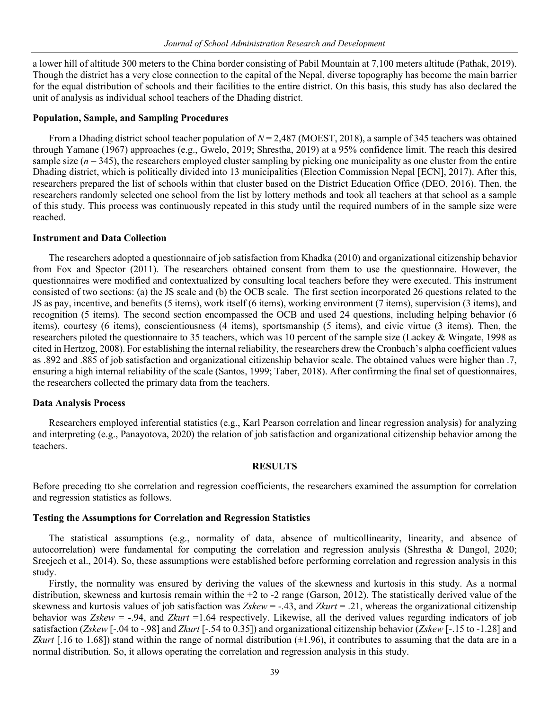a lower hill of altitude 300 meters to the China border consisting of Pabil Mountain at 7,100 meters altitude (Pathak, 2019). Though the district has a very close connection to the capital of the Nepal, diverse topography has become the main barrier for the equal distribution of schools and their facilities to the entire district. On this basis, this study has also declared the unit of analysis as individual school teachers of the Dhading district.

# **Population, Sample, and Sampling Procedures**

From a Dhading district school teacher population of *N* = 2,487 (MOEST, 2018), a sample of 345 teachers was obtained through Yamane (1967) approaches (e.g., Gwelo, 2019; Shrestha, 2019) at a 95% confidence limit. The reach this desired sample size  $(n = 345)$ , the researchers employed cluster sampling by picking one municipality as one cluster from the entire Dhading district, which is politically divided into 13 municipalities (Election Commission Nepal [ECN], 2017). After this, researchers prepared the list of schools within that cluster based on the District Education Office (DEO, 2016). Then, the researchers randomly selected one school from the list by lottery methods and took all teachers at that school as a sample of this study. This process was continuously repeated in this study until the required numbers of in the sample size were reached.

# **Instrument and Data Collection**

The researchers adopted a questionnaire of job satisfaction from Khadka (2010) and organizational citizenship behavior from Fox and Spector (2011). The researchers obtained consent from them to use the questionnaire. However, the questionnaires were modified and contextualized by consulting local teachers before they were executed. This instrument consisted of two sections: (a) the JS scale and (b) the OCB scale. The first section incorporated 26 questions related to the JS as pay, incentive, and benefits (5 items), work itself (6 items), working environment (7 items), supervision (3 items), and recognition (5 items). The second section encompassed the OCB and used 24 questions, including helping behavior (6 items), courtesy (6 items), conscientiousness (4 items), sportsmanship (5 items), and civic virtue (3 items). Then, the researchers piloted the questionnaire to 35 teachers, which was 10 percent of the sample size (Lackey & Wingate, 1998 as cited in Hertzog, 2008). For establishing the internal reliability, the researchers drew the Cronbach's alpha coefficient values as .892 and .885 of job satisfaction and organizational citizenship behavior scale. The obtained values were higher than .7, ensuring a high internal reliability of the scale (Santos, 1999; Taber, 2018). After confirming the final set of questionnaires, the researchers collected the primary data from the teachers.

## **Data Analysis Process**

Researchers employed inferential statistics (e.g., Karl Pearson correlation and linear regression analysis) for analyzing and interpreting (e.g., Panayotova, 2020) the relation of job satisfaction and organizational citizenship behavior among the teachers.

## **RESULTS**

Before preceding tto she correlation and regression coefficients, the researchers examined the assumption for correlation and regression statistics as follows.

# **Testing the Assumptions for Correlation and Regression Statistics**

The statistical assumptions (e.g., normality of data, absence of multicollinearity, linearity, and absence of autocorrelation) were fundamental for computing the correlation and regression analysis (Shrestha & Dangol, 2020; Sreejech et al., 2014). So, these assumptions were established before performing correlation and regression analysis in this study.

Firstly, the normality was ensured by deriving the values of the skewness and kurtosis in this study. As a normal distribution, skewness and kurtosis remain within the  $+2$  to  $-2$  range (Garson, 2012). The statistically derived value of the skewness and kurtosis values of job satisfaction was *Zskew* = -.43, and *Zkurt* = .21, whereas the organizational citizenship behavior was *Zskew* = -.94, and *Zkurt* =1.64 respectively. Likewise, all the derived values regarding indicators of job satisfaction (*Zskew* [-.04 to -.98] and *Zkurt* [-.54 to 0.35]) and organizational citizenship behavior (*Zskew* [-.15 to -1.28] and *Zkurt* [.16 to 1.68]) stand within the range of normal distribution  $(\pm 1.96)$ , it contributes to assuming that the data are in a normal distribution. So, it allows operating the correlation and regression analysis in this study.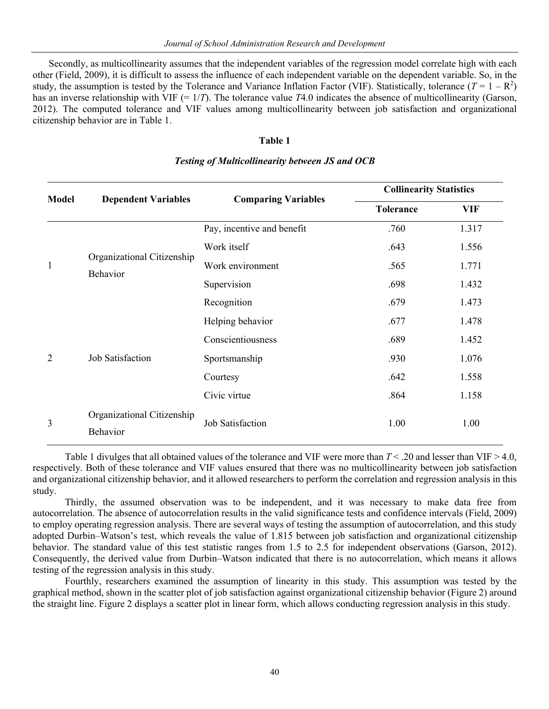Secondly, as multicollinearity assumes that the independent variables of the regression model correlate high with each other (Field, 2009), it is difficult to assess the influence of each independent variable on the dependent variable. So, in the study, the assumption is tested by the Tolerance and Variance Inflation Factor (VIF). Statistically, tolerance  $(T = 1 - R^2)$ has an inverse relationship with VIF (= 1/*T*). The tolerance value *T*4.0 indicates the absence of multicollinearity (Garson, 2012). The computed tolerance and VIF values among multicollinearity between job satisfaction and organizational citizenship behavior are in Table 1.

# **Table 1**

| <b>Model</b>   |                                        |                            | <b>Collinearity Statistics</b> |            |  |  |
|----------------|----------------------------------------|----------------------------|--------------------------------|------------|--|--|
|                | <b>Dependent Variables</b>             | <b>Comparing Variables</b> | <b>Tolerance</b>               | <b>VIF</b> |  |  |
| $\mathbf{1}$   | Organizational Citizenship<br>Behavior | Pay, incentive and benefit | .760                           | 1.317      |  |  |
|                |                                        | Work itself                | .643                           | 1.556      |  |  |
|                |                                        | Work environment           | .565                           | 1.771      |  |  |
|                |                                        | Supervision                | .698                           | 1.432      |  |  |
|                |                                        | Recognition                | .679                           | 1.473      |  |  |
|                | Job Satisfaction                       | Helping behavior           | .677                           | 1.478      |  |  |
|                |                                        | Conscientiousness          | .689                           | 1.452      |  |  |
| $\overline{2}$ |                                        | Sportsmanship              | .930                           | 1.076      |  |  |
|                |                                        | Courtesy                   | .642                           | 1.558      |  |  |
|                |                                        | Civic virtue               | .864                           | 1.158      |  |  |
|                | Organizational Citizenship<br>Behavior | <b>Job Satisfaction</b>    | 1.00                           | 1.00       |  |  |

# *Testing of Multicollinearity between JS and OCB*

Table 1 divulges that all obtained values of the tolerance and VIF were more than  $T < 0.20$  and lesser than VIF  $> 4.0$ , respectively. Both of these tolerance and VIF values ensured that there was no multicollinearity between job satisfaction and organizational citizenship behavior, and it allowed researchers to perform the correlation and regression analysis in this study.

Thirdly, the assumed observation was to be independent, and it was necessary to make data free from autocorrelation. The absence of autocorrelation results in the valid significance tests and confidence intervals (Field, 2009) to employ operating regression analysis. There are several ways of testing the assumption of autocorrelation, and this study adopted Durbin–Watson's test, which reveals the value of 1.815 between job satisfaction and organizational citizenship behavior. The standard value of this test statistic ranges from 1.5 to 2.5 for independent observations (Garson, 2012). Consequently, the derived value from Durbin–Watson indicated that there is no autocorrelation, which means it allows testing of the regression analysis in this study.

Fourthly, researchers examined the assumption of linearity in this study. This assumption was tested by the graphical method, shown in the scatter plot of job satisfaction against organizational citizenship behavior (Figure 2) around the straight line. Figure 2 displays a scatter plot in linear form, which allows conducting regression analysis in this study.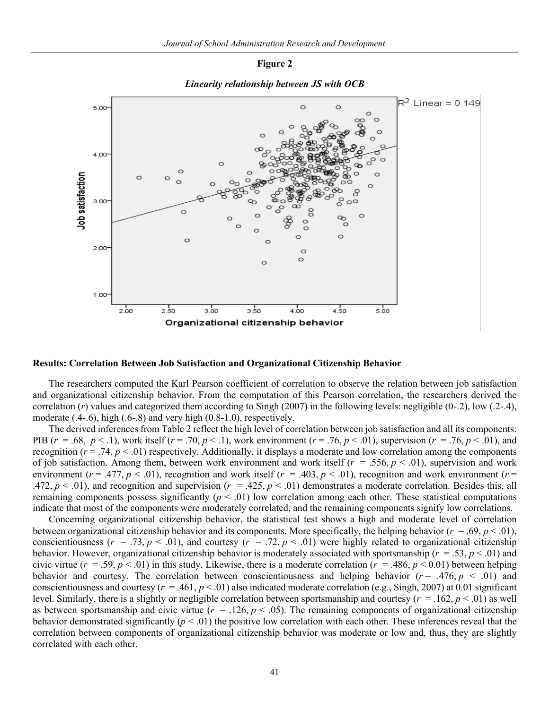#### **Figure 2**



## *Linearity relationship between JS with OCB*

#### **Results: Correlation Between Job Satisfaction and Organizational Citizenship Behavior**

The researchers computed the Karl Pearson coefficient of correlation to observe the relation between job satisfaction and organizational citizenship behavior. From the computation of this Pearson correlation, the researchers derived the correlation (*r*) values and categorized them according to Singh (2007) in the following levels: negligible (0-.2), low (.2-.4), moderate (.4-.6), high (.6-.8) and very high (0.8-1.0), respectively.

The derived inferences from Table 2 reflect the high level of correlation between job satisfaction and all its components: PIB (*r* = .68, *p* < .1), work itself (*r* = .70, *p* < .1), work environment (*r* = .76, *p* < .01), supervision (*r* = .76, *p* < .01), and recognition  $(r = .74, p < .01)$  respectively. Additionally, it displays a moderate and low correlation among the components of job satisfaction. Among them, between work environment and work itself (*r* = .556, *p* < .01), supervision and work environment ( $r = .477$ ,  $p < .01$ ), recognition and work itself ( $r = .403$ ,  $p < .01$ ), recognition and work environment ( $r =$ .472,  $p < .01$ ), and recognition and supervision ( $r = .425$ ,  $p < .01$ ) demonstrates a moderate correlation. Besides this, all remaining components possess significantly  $(p < .01)$  low correlation among each other. These statistical computations indicate that most of the components were moderately correlated, and the remaining components signify low correlations.

Concerning organizational citizenship behavior, the statistical test shows a high and moderate level of correlation between organizational citizenship behavior and its components. More specifically, the helping behavior (*r* = .69, *p* < .01), conscientiousness ( $r = .73$ ,  $p < .01$ ), and courtesy ( $r = .72$ ,  $p < .01$ ) were highly related to organizational citizenship behavior. However, organizational citizenship behavior is moderately associated with sportsmanship (*r* = .53, *p* < .01) and civic virtue ( $r = .59$ ,  $p < .01$ ) in this study. Likewise, there is a moderate correlation ( $r = .486$ ,  $p < 0.01$ ) between helping behavior and courtesy. The correlation between conscientiousness and helping behavior  $(r = .476, p < .01)$  and conscientiousness and courtesy  $(r = .461, p < .01)$  also indicated moderate correlation (e.g., Singh, 2007) at 0.01 significant level. Similarly, there is a slightly or negligible correlation between sportsmanship and courtesy (*r* = .162, *p* < .01) as well as between sportsmanship and civic virtue ( $r = .126$ ,  $p < .05$ ). The remaining components of organizational citizenship behavior demonstrated significantly  $(p < .01)$  the positive low correlation with each other. These inferences reveal that the correlation between components of organizational citizenship behavior was moderate or low and, thus, they are slightly correlated with each other.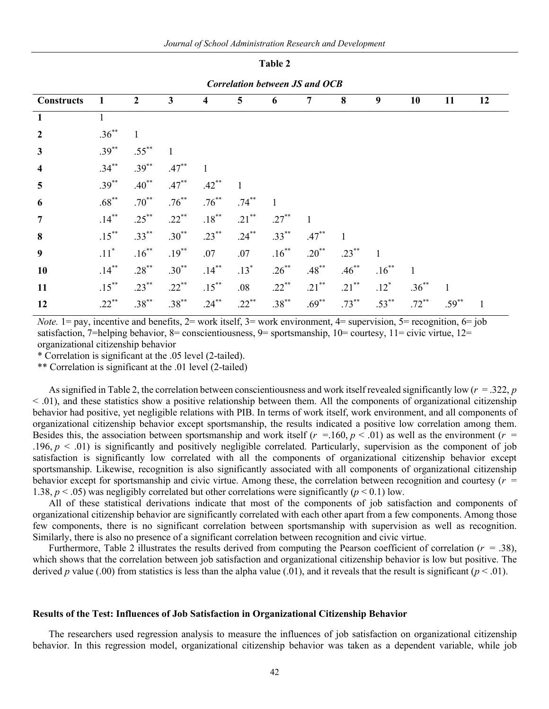**Table 2**

| <b>Correlation between JS and OCB</b> |                    |                |              |          |                |          |          |          |              |              |          |    |
|---------------------------------------|--------------------|----------------|--------------|----------|----------------|----------|----------|----------|--------------|--------------|----------|----|
| <b>Constructs</b>                     | 1                  | $\overline{2}$ | $\mathbf{3}$ | 4        | $\overline{5}$ | 6        | 7        | 8        | 9            | 10           | 11       | 12 |
| $\mathbf{1}$                          | $\mathbf{1}$       |                |              |          |                |          |          |          |              |              |          |    |
| $\overline{2}$                        | $.36***$           | $\mathbf{1}$   |              |          |                |          |          |          |              |              |          |    |
| $\mathbf{3}$                          | $.39***$           | $.55***$       |              |          |                |          |          |          |              |              |          |    |
| 4                                     | $.34***$           | $.39***$       | $.47***$     |          |                |          |          |          |              |              |          |    |
| $\overline{\mathbf{5}}$               | $.39***$           | $.40^{**}$     | $.47***$     | $.42***$ |                |          |          |          |              |              |          |    |
| 6                                     | $.68***$           | $.70***$       | $.76***$     | $.76***$ | $.74***$       |          |          |          |              |              |          |    |
| $\overline{7}$                        | $.14***$           | $.25***$       | $.22***$     | $.18***$ | $.21***$       | $.27***$ |          |          |              |              |          |    |
| 8                                     | $.15***$           | $.33***$       | $.30***$     | $.23***$ | $.24***$       | $.33***$ | $.47***$ |          |              |              |          |    |
| 9                                     | $.11$ <sup>*</sup> | $.16***$       | $.19***$     | .07      | .07            | $.16***$ | $.20**$  | $.23***$ | $\mathbf{1}$ |              |          |    |
| 10                                    | $.14***$           | $.28***$       | $.30***$     | $.14***$ | $.13*$         | $.26***$ | $.48***$ | $.46***$ | $.16***$     | $\mathbf{1}$ |          |    |
| 11                                    | $.15***$           | $.23***$       | $.22***$     | $.15***$ | .08            | $.22***$ | $.21***$ | $.21***$ | $.12*$       | $.36***$     |          |    |
| 12                                    | $.22***$           | $.38***$       | $.38***$     | $.24***$ | $.22***$       | $.38***$ | $.69***$ | $.73***$ | $.53***$     | $.72***$     | $.59***$ |    |

*Note.* 1 = pay, incentive and benefits,  $2$  = work itself,  $3$  = work environment,  $4$  = supervision,  $5$  = recognition,  $6$  = job satisfaction, 7=helping behavior, 8= conscientiousness, 9= sportsmanship,  $10=$  courtesy,  $11=$  civic virtue,  $12=$ organizational citizenship behavior

\* Correlation is significant at the .05 level (2-tailed).

\*\* Correlation is significant at the .01 level (2-tailed)

As signified in Table 2, the correlation between conscientiousness and work itself revealed significantly low (*r* = .322, *p*  $<$  0.01), and these statistics show a positive relationship between them. All the components of organizational citizenship behavior had positive, yet negligible relations with PIB. In terms of work itself, work environment, and all components of organizational citizenship behavior except sportsmanship, the results indicated a positive low correlation among them. Besides this, the association between sportsmanship and work itself  $(r = .160, p < .01)$  as well as the environment  $(r = .160, p < .01)$ .196,  $p < .01$ ) is significantly and positively negligible correlated. Particularly, supervision as the component of job satisfaction is significantly low correlated with all the components of organizational citizenship behavior except sportsmanship. Likewise, recognition is also significantly associated with all components of organizational citizenship behavior except for sportsmanship and civic virtue. Among these, the correlation between recognition and courtesy (*r* = 1.38,  $p < .05$ ) was negligibly correlated but other correlations were significantly ( $p < .01$ ) low.

All of these statistical derivations indicate that most of the components of job satisfaction and components of organizational citizenship behavior are significantly correlated with each other apart from a few components. Among those few components, there is no significant correlation between sportsmanship with supervision as well as recognition. Similarly, there is also no presence of a significant correlation between recognition and civic virtue.

Furthermore, Table 2 illustrates the results derived from computing the Pearson coefficient of correlation (*r* = .38), which shows that the correlation between job satisfaction and organizational citizenship behavior is low but positive. The derived *p* value (.00) from statistics is less than the alpha value (.01), and it reveals that the result is significant ( $p < .01$ ).

#### **Results of the Test: Influences of Job Satisfaction in Organizational Citizenship Behavior**

The researchers used regression analysis to measure the influences of job satisfaction on organizational citizenship behavior. In this regression model, organizational citizenship behavior was taken as a dependent variable, while job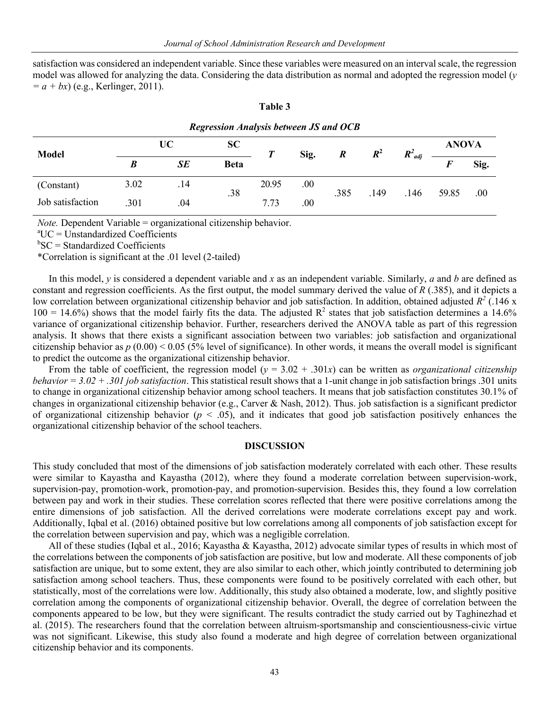satisfaction was considered an independent variable. Since these variables were measured on an interval scale, the regression model was allowed for analyzing the data. Considering the data distribution as normal and adopted the regression model (*y*  $= a + bx$ ) (e.g., Kerlinger, 2011).

| <b>Regression Analysis between JS and OCB</b> |           |           |             |       |      |                  |       |             |              |      |
|-----------------------------------------------|-----------|-----------|-------------|-------|------|------------------|-------|-------------|--------------|------|
| <b>Model</b>                                  | <b>UC</b> |           | <b>SC</b>   | Т     | Sig. | $\boldsymbol{R}$ | $R^2$ | $R^2_{adj}$ | <b>ANOVA</b> |      |
|                                               |           | <b>SE</b> | <b>Beta</b> |       |      |                  |       |             |              | Sig. |
| (Constant)                                    | 3.02      | .14       | .38         | 20.95 | .00  | .385             | .149  | .146        | 59.85        | .00  |
| Job satisfaction                              | 301       | .04       |             | 7.73  | .00  |                  |       |             |              |      |

#### **Table 3**

*Note.* Dependent Variable = organizational citizenship behavior.

a UC = Unstandardized Coefficients

b SC = Standardized Coefficients

\*Correlation is significant at the .01 level (2-tailed)

In this model, *y* is considered a dependent variable and *x* as an independent variable. Similarly, *a* and *b* are defined as constant and regression coefficients. As the first output, the model summary derived the value of *R* (.385), and it depicts a low correlation between organizational citizenship behavior and job satisfaction. In addition, obtained adjusted  $R^2$  (.146 x  $100 = 14.6\%$ ) shows that the model fairly fits the data. The adjusted  $R^2$  states that job satisfaction determines a 14.6% variance of organizational citizenship behavior. Further, researchers derived the ANOVA table as part of this regression analysis. It shows that there exists a significant association between two variables: job satisfaction and organizational citizenship behavior as  $p(0.00) < 0.05$  (5% level of significance). In other words, it means the overall model is significant to predict the outcome as the organizational citizenship behavior.

From the table of coefficient, the regression model  $(y = 3.02 + .301x)$  can be written as *organizational citizenship behavior = 3.02 + .301 job satisfaction*. This statistical result shows that a 1-unit change in job satisfaction brings .301 units to change in organizational citizenship behavior among school teachers. It means that job satisfaction constitutes 30.1% of changes in organizational citizenship behavior (e.g., Carver & Nash, 2012). Thus. job satisfaction is a significant predictor of organizational citizenship behavior ( $p < .05$ ), and it indicates that good job satisfaction positively enhances the organizational citizenship behavior of the school teachers.

## **DISCUSSION**

This study concluded that most of the dimensions of job satisfaction moderately correlated with each other. These results were similar to Kayastha and Kayastha (2012), where they found a moderate correlation between supervision-work, supervision-pay, promotion-work, promotion-pay, and promotion-supervision. Besides this, they found a low correlation between pay and work in their studies. These correlation scores reflected that there were positive correlations among the entire dimensions of job satisfaction. All the derived correlations were moderate correlations except pay and work. Additionally, Iqbal et al. (2016) obtained positive but low correlations among all components of job satisfaction except for the correlation between supervision and pay, which was a negligible correlation.

All of these studies (Iqbal et al., 2016; Kayastha & Kayastha, 2012) advocate similar types of results in which most of the correlations between the components of job satisfaction are positive, but low and moderate. All these components of job satisfaction are unique, but to some extent, they are also similar to each other, which jointly contributed to determining job satisfaction among school teachers. Thus, these components were found to be positively correlated with each other, but statistically, most of the correlations were low. Additionally, this study also obtained a moderate, low, and slightly positive correlation among the components of organizational citizenship behavior. Overall, the degree of correlation between the components appeared to be low, but they were significant. The results contradict the study carried out by Taghinezhad et al. (2015). The researchers found that the correlation between altruism-sportsmanship and conscientiousness-civic virtue was not significant. Likewise, this study also found a moderate and high degree of correlation between organizational citizenship behavior and its components.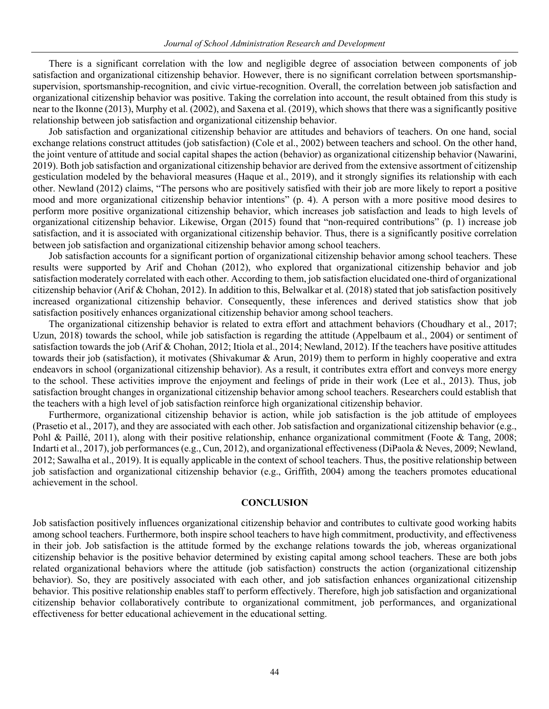There is a significant correlation with the low and negligible degree of association between components of job satisfaction and organizational citizenship behavior. However, there is no significant correlation between sportsmanshipsupervision, sportsmanship-recognition, and civic virtue-recognition. Overall, the correlation between job satisfaction and organizational citizenship behavior was positive. Taking the correlation into account, the result obtained from this study is near to the Ikonne (2013), Murphy et al. (2002), and Saxena et al. (2019), which shows that there was a significantly positive relationship between job satisfaction and organizational citizenship behavior.

Job satisfaction and organizational citizenship behavior are attitudes and behaviors of teachers. On one hand, social exchange relations construct attitudes (job satisfaction) (Cole et al., 2002) between teachers and school. On the other hand, the joint venture of attitude and social capital shapes the action (behavior) as organizational citizenship behavior (Nawarini, 2019). Both job satisfaction and organizational citizenship behavior are derived from the extensive assortment of citizenship gesticulation modeled by the behavioral measures (Haque et al., 2019), and it strongly signifies its relationship with each other. Newland (2012) claims, "The persons who are positively satisfied with their job are more likely to report a positive mood and more organizational citizenship behavior intentions" (p. 4). A person with a more positive mood desires to perform more positive organizational citizenship behavior, which increases job satisfaction and leads to high levels of organizational citizenship behavior. Likewise, Organ (2015) found that "non-required contributions" (p. 1) increase job satisfaction, and it is associated with organizational citizenship behavior. Thus, there is a significantly positive correlation between job satisfaction and organizational citizenship behavior among school teachers.

Job satisfaction accounts for a significant portion of organizational citizenship behavior among school teachers. These results were supported by Arif and Chohan (2012), who explored that organizational citizenship behavior and job satisfaction moderately correlated with each other. According to them, job satisfaction elucidated one-third of organizational citizenship behavior (Arif & Chohan, 2012). In addition to this, Belwalkar et al. (2018) stated that job satisfaction positively increased organizational citizenship behavior. Consequently, these inferences and derived statistics show that job satisfaction positively enhances organizational citizenship behavior among school teachers.

The organizational citizenship behavior is related to extra effort and attachment behaviors (Choudhary et al., 2017; Uzun, 2018) towards the school, while job satisfaction is regarding the attitude (Appelbaum et al., 2004) or sentiment of satisfaction towards the job (Arif & Chohan, 2012; Itiola et al., 2014; Newland, 2012). If the teachers have positive attitudes towards their job (satisfaction), it motivates (Shivakumar & Arun, 2019) them to perform in highly cooperative and extra endeavors in school (organizational citizenship behavior). As a result, it contributes extra effort and conveys more energy to the school. These activities improve the enjoyment and feelings of pride in their work (Lee et al., 2013). Thus, job satisfaction brought changes in organizational citizenship behavior among school teachers. Researchers could establish that the teachers with a high level of job satisfaction reinforce high organizational citizenship behavior.

Furthermore, organizational citizenship behavior is action, while job satisfaction is the job attitude of employees (Prasetio et al., 2017), and they are associated with each other. Job satisfaction and organizational citizenship behavior (e.g., Pohl & Paillé, 2011), along with their positive relationship, enhance organizational commitment (Foote & Tang, 2008; Indarti et al., 2017), job performances (e.g., Cun, 2012), and organizational effectiveness (DiPaola & Neves, 2009; Newland, 2012; Sawalha et al., 2019). It is equally applicable in the context of school teachers. Thus, the positive relationship between job satisfaction and organizational citizenship behavior (e.g., Griffith, 2004) among the teachers promotes educational achievement in the school.

# **CONCLUSION**

Job satisfaction positively influences organizational citizenship behavior and contributes to cultivate good working habits among school teachers. Furthermore, both inspire school teachers to have high commitment, productivity, and effectiveness in their job. Job satisfaction is the attitude formed by the exchange relations towards the job, whereas organizational citizenship behavior is the positive behavior determined by existing capital among school teachers. These are both jobs related organizational behaviors where the attitude (job satisfaction) constructs the action (organizational citizenship behavior). So, they are positively associated with each other, and job satisfaction enhances organizational citizenship behavior. This positive relationship enables staff to perform effectively. Therefore, high job satisfaction and organizational citizenship behavior collaboratively contribute to organizational commitment, job performances, and organizational effectiveness for better educational achievement in the educational setting.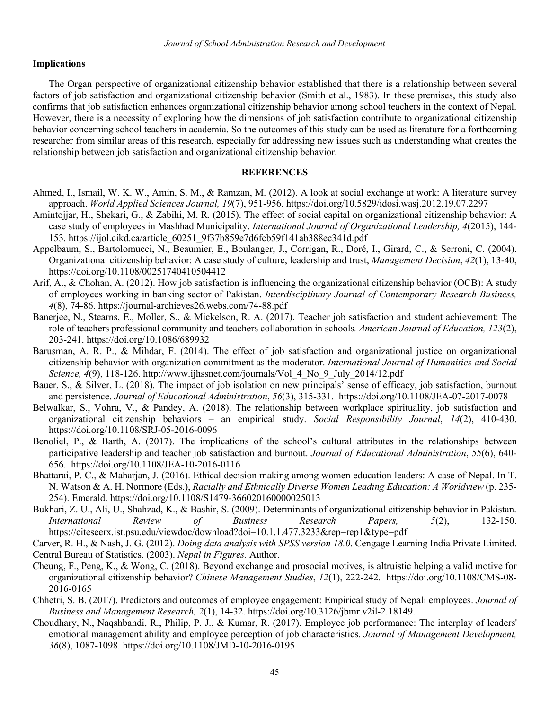# **Implications**

The Organ perspective of organizational citizenship behavior established that there is a relationship between several factors of job satisfaction and organizational citizenship behavior (Smith et al., 1983). In these premises, this study also confirms that job satisfaction enhances organizational citizenship behavior among school teachers in the context of Nepal. However, there is a necessity of exploring how the dimensions of job satisfaction contribute to organizational citizenship behavior concerning school teachers in academia. So the outcomes of this study can be used as literature for a forthcoming researcher from similar areas of this research, especially for addressing new issues such as understanding what creates the relationship between job satisfaction and organizational citizenship behavior.

# **REFERENCES**

- Ahmed, I., Ismail, W. K. W., Amin, S. M., & Ramzan, M. (2012). A look at social exchange at work: A literature survey approach. *World Applied Sciences Journal, 19*(7), 951-956. https://doi.org/10.5829/idosi.wasj.2012.19.07.2297
- Amintojjar, H., Shekari, G., & Zabihi, M. R. (2015). The effect of social capital on organizational citizenship behavior: A case study of employees in Mashhad Municipality. *International Journal of Organizational Leadership, 4*(2015), 144- 153. https://ijol.cikd.ca/article\_60251\_9f37b859e7d6fcb59f141ab388ec341d.pdf
- Appelbaum, S., Bartolomucci, N., Beaumier, E., Boulanger, J., Corrigan, R., Doré, I., Girard, C., & Serroni, C. (2004). Organizational citizenship behavior: A case study of culture, leadership and trust, *Management Decision*, *42*(1), 13-40, https://doi.org/10.1108/00251740410504412
- Arif, A., & Chohan, A. (2012). How job satisfaction is influencing the organizational citizenship behavior (OCB): A study of employees working in banking sector of Pakistan. *Interdisciplinary Journal of Contemporary Research Business, 4*(8), 74-86. https://journal-archieves26.webs.com/74-88.pdf
- Banerjee, N., Stearns, E., Moller, S., & Mickelson, R. A. (2017). Teacher job satisfaction and student achievement: The role of teachers professional community and teachers collaboration in schools*. American Journal of Education, 123*(2), 203-241. https://doi.org/10.1086/689932
- Barusman, A. R. P., & Mihdar, F. (2014). The effect of job satisfaction and organizational justice on organizational citizenship behavior with organization commitment as the moderator. *International Journal of Humanities and Social Science, 4*(9), 118-126. http://www.ijhssnet.com/journals/Vol\_4\_No\_9\_July\_2014/12.pdf
- Bauer, S., & Silver, L. (2018). The impact of job isolation on new principals' sense of efficacy, job satisfaction, burnout and persistence. *Journal of Educational Administration*, *56*(3), 315-331. https://doi.org/10.1108/JEA-07-2017-0078
- Belwalkar, S., Vohra, V., & Pandey, A. (2018). The relationship between workplace spirituality, job satisfaction and organizational citizenship behaviors – an empirical study. *Social Responsibility Journal*, *14*(2), 410-430. https://doi.org/10.1108/SRJ-05-2016-0096
- Benoliel, P., & Barth, A. (2017). The implications of the school's cultural attributes in the relationships between participative leadership and teacher job satisfaction and burnout. *Journal of Educational Administration*, *55*(6), 640- 656. https://doi.org/10.1108/JEA-10-2016-0116
- Bhattarai, P. C., & Maharjan, J. (2016). Ethical decision making among women education leaders: A case of Nepal. In T. N. Watson & A. H. Normore (Eds.), *Racially and Ethnically Diverse Women Leading Education: A Worldview* (p. 235- 254). Emerald. https://doi.org/10.1108/S1479-366020160000025013
- Bukhari, Z. U., Ali, U., Shahzad, K., & Bashir, S. (2009). Determinants of organizational citizenship behavior in Pakistan. *International Review of Business Research Papers, 5*(2), 132-150. https://citeseerx.ist.psu.edu/viewdoc/download?doi=10.1.1.477.3233&rep=rep1&type=pdf

Carver, R. H., & Nash, J. G. (2012). *Doing data analysis with SPSS version 18.0*. Cengage Learning India Private Limited. Central Bureau of Statistics. (2003). *Nepal in Figures.* Author.

- Cheung, F., Peng, K., & Wong, C. (2018). Beyond exchange and prosocial motives, is altruistic helping a valid motive for organizational citizenship behavior? *Chinese Management Studies*, *12*(1), 222-242. https://doi.org/10.1108/CMS-08- 2016-0165
- Chhetri, S. B. (2017). Predictors and outcomes of employee engagement: Empirical study of Nepali employees. *Journal of Business and Management Research, 2*(1), 14-32. https://doi.org/10.3126/jbmr.v2il-2.18149.
- Choudhary, N., Naqshbandi, R., Philip, P. J., & Kumar, R. (2017). Employee job performance: The interplay of leaders' emotional management ability and employee perception of job characteristics. *Journal of Management Development, 36*(8), 1087-1098. https://doi.org/10.1108/JMD-10-2016-0195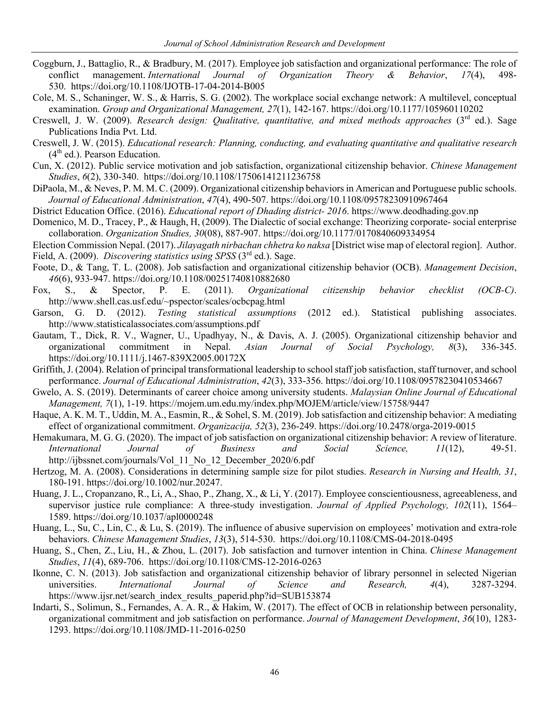- Coggburn, J., Battaglio, R., & Bradbury, M. (2017). Employee job satisfaction and organizational performance: The role of conflict management. *International Journal of Organization Theory & Behavior*, *17*(4), 498- 530. https://doi.org/10.1108/IJOTB-17-04-2014-B005
- Cole, M. S., Schaninger, W. S., & Harris, S. G. (2002). The workplace social exchange network: A multilevel, conceptual examination. *Group and Organizational Management, 27*(1), 142-167. https://doi.org/10.1177/105960110202
- Creswell, J. W. (2009). *Research design: Qualitative, quantitative, and mixed methods approaches* (3rd ed.). Sage Publications India Pvt. Ltd.
- Creswell, J. W. (2015). *Educational research: Planning, conducting, and evaluating quantitative and qualitative research*  $(4<sup>th</sup>$  ed.). Pearson Education.
- Cun, X. (2012). Public service motivation and job satisfaction, organizational citizenship behavior. *Chinese Management Studies*, *6*(2), 330-340. https://doi.org/10.1108/17506141211236758
- DiPaola, M., & Neves, P. M. M. C. (2009). Organizational citizenship behaviors in American and Portuguese public schools. *Journal of Educational Administration*, *47*(4), 490-507. https://doi.org/10.1108/09578230910967464
- District Education Office. (2016). *Educational report of Dhading district- 2016*. https://www.deodhading.gov.np
- Domenico, M. D., Tracey, P., & Haugh, H, (2009). The Dialectic of social exchange: Theorizing corporate- social enterprise collaboration. *Organization Studies, 30*(08), 887-907. https://doi.org/10.1177/0170840609334954
- Election Commission Nepal. (2017). *Jilayagath nirbachan chhetra ko naksa* [District wise map of electoral region]. Author. Field, A. (2009). *Discovering statistics using SPSS* (3rd ed.). Sage.
- Foote, D., & Tang, T. L. (2008). Job satisfaction and organizational citizenship behavior (OCB). *Management Decision*, *46*(6), 933-947. https://doi.org/10.1108/00251740810882680
- Fox, S., & Spector, P. E. (2011). *Organizational citizenship behavior checklist (OCB-C)*. http://www.shell.cas.usf.edu/~pspector/scales/ocbcpag.html
- Garson, G. D. (2012). *Testing statistical assumptions* (2012 ed.). Statistical publishing associates. http://www.statisticalassociates.com/assumptions.pdf
- Gautam, T., Dick, R. V., Wagner, U., Upadhyay, N., & Davis, A. J. (2005). Organizational citizenship behavior and organizational commitment in Nepal. *Asian Journal of Social Psychology, 8*(3), 336-345. https://doi.org/10.1111/j.1467-839X2005.00172X
- Griffith, J. (2004). Relation of principal transformational leadership to school staff job satisfaction, staff turnover, and school performance. *Journal of Educational Administration*, *42*(3), 333-356. https://doi.org/10.1108/09578230410534667
- Gwelo, A. S. (2019). Determinants of career choice among university students. *Malaysian Online Journal of Educational Management, 7*(1), 1-19. https://mojem.um.edu.my/index.php/MOJEM/article/view/15758/9447
- Haque, A. K. M. T., Uddin, M. A., Easmin, R., & Sohel, S. M. (2019). Job satisfaction and citizenship behavior: A mediating effect of organizational commitment. *Organizacija, 52*(3), 236-249. https://doi.org/10.2478/orga-2019-0015
- Hemakumara, M. G. G. (2020). The impact of job satisfaction on organizational citizenship behavior: A review of literature. *International Journal of Business and Social Science, 11*(12), 49-51. http://ijbssnet.com/journals/Vol\_11\_No\_12\_December\_2020/6.pdf
- Hertzog, M. A. (2008). Considerations in determining sample size for pilot studies. *Research in Nursing and Health, 31*, 180-191. https://doi.org/10.1002/nur.20247.
- Huang, J. L., Cropanzano, R., Li, A., Shao, P., Zhang, X., & Li, Y. (2017). Employee conscientiousness, agreeableness, and supervisor justice rule compliance: A three-study investigation. *Journal of Applied Psychology, 102*(11), 1564– 1589. https://doi.org/10.1037/apl0000248
- Huang, L., Su, C., Lin, C., & Lu, S. (2019). The influence of abusive supervision on employees' motivation and extra-role behaviors. *Chinese Management Studies*, *13*(3), 514-530. https://doi.org/10.1108/CMS-04-2018-0495
- Huang, S., Chen, Z., Liu, H., & Zhou, L. (2017). Job satisfaction and turnover intention in China. *Chinese Management Studies*, *11*(4), 689-706. https://doi.org/10.1108/CMS-12-2016-0263
- Ikonne, C. N. (2013). Job satisfaction and organizational citizenship behavior of library personnel in selected Nigerian universities. *International Journal of Science and Research, 4*(4), 3287-3294. https://www.ijsr.net/search\_index\_results\_paperid.php?id=SUB153874
- Indarti, S., Solimun, S., Fernandes, A. A. R., & Hakim, W. (2017). The effect of OCB in relationship between personality, organizational commitment and job satisfaction on performance. *Journal of Management Development*, *36*(10), 1283- 1293. https://doi.org/10.1108/JMD-11-2016-0250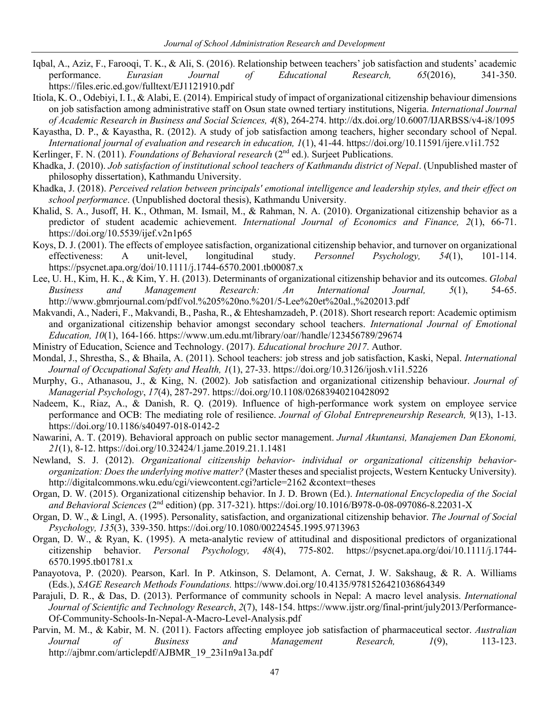- Iqbal, A., Aziz, F., Farooqi, T. K., & Ali, S. (2016). Relationship between teachers' job satisfaction and students' academic performance. *Eurasian Journal of Educational Research, 65*(2016), 341-350. https://files.eric.ed.gov/fulltext/EJ1121910.pdf
- Itiola, K. O., Odebiyi, I. I., & Alabi, E. (2014). Empirical study of impact of organizational citizenship behaviour dimensions on job satisfaction among administrative staff on Osun state owned tertiary institutions, Nigeria. *International Journal of Academic Research in Business and Social Sciences, 4*(8), 264-274. http://dx.doi.org/10.6007/IJARBSS/v4-i8/1095
- Kayastha, D. P., & Kayastha, R. (2012). A study of job satisfaction among teachers, higher secondary school of Nepal. *International journal of evaluation and research in education, 1*(1), 41-44. https://doi.org/10.11591/ijere.v1i1.752
- Kerlinger, F. N. (2011). *Foundations of Behavioral research* (2<sup>nd</sup> ed.). Surjeet Publications.
- Khadka, J. (2010). *Job satisfaction of institutional school teachers of Kathmandu district of Nepal*. (Unpublished master of philosophy dissertation), Kathmandu University.
- Khadka, J. (2018). *Perceived relation between principals' emotional intelligence and leadership styles, and their effect on school performance*. (Unpublished doctoral thesis), Kathmandu University.
- Khalid, S. A., Jusoff, H. K., Othman, M. Ismail, M., & Rahman, N. A. (2010). Organizational citizenship behavior as a predictor of student academic achievement. *International Journal of Economics and Finance, 2*(1), 66-71. https://doi.org/10.5539/ijef.v2n1p65
- Koys, D. J. (2001). The effects of employee satisfaction, organizational citizenship behavior, and turnover on organizational effectiveness: A unit-level, longitudinal study. *Personnel Psychology, 54*(1), 101-114. https://psycnet.apa.org/doi/10.1111/j.1744-6570.2001.tb00087.x
- Lee, U. H., Kim, H. K., & Kim, Y. H. (2013). Determinants of organizational citizenship behavior and its outcomes. *Global Business and Management Research: An International Journal, 5*(1), 54-65. http://www.gbmrjournal.com/pdf/vol.%205%20no.%201/5-Lee%20et%20al.,%202013.pdf
- Makvandi, A., Naderi, F., Makvandi, B., Pasha, R., & Ehteshamzadeh, P. (2018). Short research report: Academic optimism and organizational citizenship behavior amongst secondary school teachers. *International Journal of Emotional Education, 10*(1), 164-166. https://www.um.edu.mt/library/oar//handle/123456789/29674
- Ministry of Education, Science and Technology. (2017). *Educational brochure 2017*. Author.
- Mondal, J., Shrestha, S., & Bhaila, A. (2011). School teachers: job stress and job satisfaction, Kaski, Nepal. *International Journal of Occupational Safety and Health, 1*(1), 27-33. https://doi.org/10.3126/ijosh.v1i1.5226
- Murphy, G., Athanasou, J., & King, N. (2002). Job satisfaction and organizational citizenship behaviour. *Journal of Managerial Psychology*, *17*(4), 287-297. https://doi.org/10.1108/02683940210428092
- Nadeem, K., Riaz, A., & Danish, R. Q. (2019). Influence of high-performance work system on employee service performance and OCB: The mediating role of resilience. *Journal of Global Entrepreneurship Research, 9*(13), 1-13. https://doi.org/10.1186/s40497-018-0142-2
- Nawarini, A. T. (2019). Behavioral approach on public sector management. *Jurnal Akuntansi, Manajemen Dan Ekonomi, 21*(1), 8-12. https://doi.org/10.32424/1.jame.2019.21.1.1481
- Newland, S. J. (2012). *Organizational citizenship behavior- individual or organizational citizenship behaviororganization: Does the underlying motive matter?* (Master theses and specialist projects, Western Kentucky University). http://digitalcommons.wku.edu/cgi/viewcontent.cgi?article=2162 &context=theses
- Organ, D. W. (2015). Organizational citizenship behavior. In J. D. Brown (Ed.). *International Encyclopedia of the Social and Behavioral Sciences* (2nd edition) (pp. 317-321). https://doi.org/10.1016/B978-0-08-097086-8.22031-X
- Organ, D. W., & Lingl, A. (1995). Personality, satisfaction, and organizational citizenship behavior. *The Journal of Social Psychology, 135*(3), 339-350. https://doi.org/10.1080/00224545.1995.9713963
- Organ, D. W., & Ryan, K. (1995). A meta-analytic review of attitudinal and dispositional predictors of organizational citizenship behavior. *Personal Psychology, 48*(4), 775-802. https://psycnet.apa.org/doi/10.1111/j.1744- 6570.1995.tb01781.x
- Panayotova, P. (2020). Pearson, Karl. In P. Atkinson, S. Delamont, A. Cernat, J. W. Sakshaug, & R. A. Williams (Eds.), *SAGE Research Methods Foundations.* https://www.doi.org/10.4135/9781526421036864349
- Parajuli, D. R., & Das, D. (2013). Performance of community schools in Nepal: A macro level analysis. *International Journal of Scientific and Technology Research*, *2*(7), 148-154. https://www.ijstr.org/final-print/july2013/Performance-Of-Community-Schools-In-Nepal-A-Macro-Level-Analysis.pdf
- Parvin, M. M., & Kabir, M. N. (2011). Factors affecting employee job satisfaction of pharmaceutical sector. *Australian Journal of Business and Management Research, 1*(9), 113-123. http://ajbmr.com/articlepdf/AJBMR\_19\_23i1n9a13a.pdf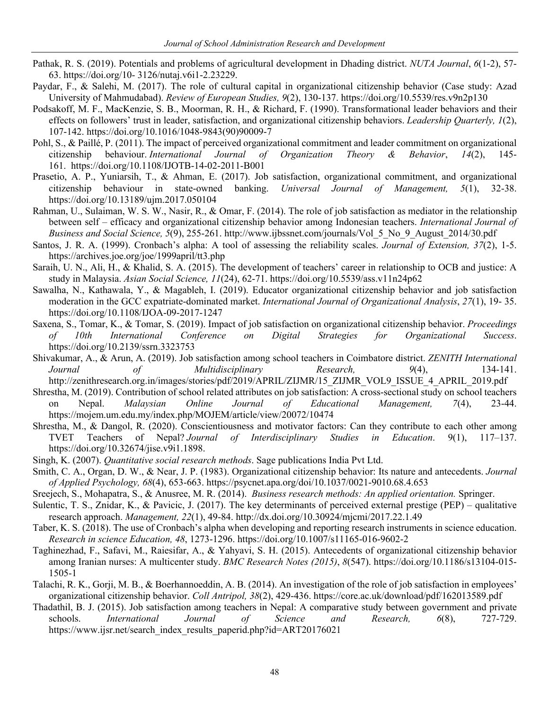- Pathak, R. S. (2019). Potentials and problems of agricultural development in Dhading district. *NUTA Journal*, *6*(1-2), 57- 63. https://doi.org/10- 3126/nutaj.v6i1-2.23229.
- Paydar, F., & Salehi, M. (2017). The role of cultural capital in organizational citizenship behavior (Case study: Azad University of Mahmudabad). *Review of European Studies, 9*(2), 130-137. https://doi.org/10.5539/res.v9n2p130
- Podsakoff, M. F., MacKenzie, S. B., Moorman, R. H., & Richard, F. (1990). Transformational leader behaviors and their effects on followers' trust in leader, satisfaction, and organizational citizenship behaviors. *Leadership Quarterly, 1*(2), 107-142. https://doi.org/10.1016/1048-9843(90)90009-7
- Pohl, S., & Paillé, P. (2011). The impact of perceived organizational commitment and leader commitment on organizational citizenship behaviour. *International Journal of Organization Theory & Behavior*, *14*(2), 145- 161. https://doi.org/10.1108/IJOTB-14-02-2011-B001
- Prasetio, A. P., Yuniarsih, T., & Ahman, E. (2017). Job satisfaction, organizational commitment, and organizational citizenship behaviour in state-owned banking. *Universal Journal of Management, 5*(1), 32-38. https://doi.org/10.13189/ujm.2017.050104
- Rahman, U., Sulaiman, W. S. W., Nasir, R., & Omar, F. (2014). The role of job satisfaction as mediator in the relationship between self – efficacy and organizational citizenship behavior among Indonesian teachers. *International Journal of Business and Social Science, 5*(9), 255-261. http://www.ijbssnet.com/journals/Vol\_5\_No\_9\_August\_2014/30.pdf
- Santos, J. R. A. (1999). Cronbach's alpha: A tool of assessing the reliability scales. *Journal of Extension, 37*(2), 1-5. https://archives.joe.org/joe/1999april/tt3.php
- Saraih, U. N., Ali, H., & Khalid, S. A. (2015). The development of teachers' career in relationship to OCB and justice: A study in Malaysia. *Asian Social Science, 11*(24), 62-71. https://doi.org/10.5539/ass.v11n24p62
- Sawalha, N., Kathawala, Y., & Magableh, I. (2019). Educator organizational citizenship behavior and job satisfaction moderation in the GCC expatriate-dominated market. *International Journal of Organizational Analysis*, *27*(1), 19- 35. https://doi.org/10.1108/IJOA-09-2017-1247
- Saxena, S., Tomar, K., & Tomar, S. (2019). Impact of job satisfaction on organizational citizenship behavior. *Proceedings of 10th International Conference on Digital Strategies for Organizational Success*. https://doi.org/10.2139/ssrn.3323753
- Shivakumar, A., & Arun, A. (2019). Job satisfaction among school teachers in Coimbatore district. *ZENITH International Journal of Multidisciplinary Research, 9*(4), 134-141. http://zenithresearch.org.in/images/stories/pdf/2019/APRIL/ZIJMR/15\_ZIJMR\_VOL9\_ISSUE\_4\_APRIL\_2019.pdf
- Shrestha, M. (2019). Contribution of school related attributes on job satisfaction: A cross-sectional study on school teachers on Nepal. *Malaysian Online Journal of Educational Management, 7*(4), 23-44. https://mojem.um.edu.my/index.php/MOJEM/article/view/20072/10474
- Shrestha, M., & Dangol, R. (2020). Conscientiousness and motivator factors: Can they contribute to each other among TVET Teachers of Nepal? *Journal of Interdisciplinary Studies in Education*. 9(1), 117–137. https://doi.org/10.32674/jise.v9i1.1898.
- Singh, K. (2007). *Quantitative social research methods*. Sage publications India Pvt Ltd.
- Smith, C. A., Organ, D. W., & Near, J. P. (1983). Organizational citizenship behavior: Its nature and antecedents. *Journal of Applied Psychology, 68*(4), 653-663. https://psycnet.apa.org/doi/10.1037/0021-9010.68.4.653
- Sreejech, S., Mohapatra, S., & Anusree, M. R. (2014). *Business research methods: An applied orientation.* Springer.
- Sulentic, T. S., Znidar, K., & Pavicic, J. (2017). The key determinants of perceived external prestige (PEP) qualitative research approach. *Management, 22*(1), 49-84. http://dx.doi.org/10.30924/mjcmi/2017.22.1.49
- Taber, K. S. (2018). The use of Cronbach's alpha when developing and reporting research instruments in science education. *Research in science Education, 48*, 1273-1296. https://doi.org/10.1007/s11165-016-9602-2
- Taghinezhad, F., Safavi, M., Raiesifar, A., & Yahyavi, S. H. (2015). Antecedents of organizational citizenship behavior among Iranian nurses: A multicenter study. *BMC Research Notes (2015)*, *8*(547). https://doi.org/10.1186/s13104-015- 1505-1
- Talachi, R. K., Gorji, M. B., & Boerhannoeddin, A. B. (2014). An investigation of the role of job satisfaction in employees' organizational citizenship behavior. *Coll Antripol, 38*(2), 429-436. https://core.ac.uk/download/pdf/162013589.pdf
- Thadathil, B. J. (2015). Job satisfaction among teachers in Nepal: A comparative study between government and private schools. *International Journal of Science and Research, 6*(8), 727-729. https://www.ijsr.net/search\_index\_results\_paperid.php?id=ART20176021